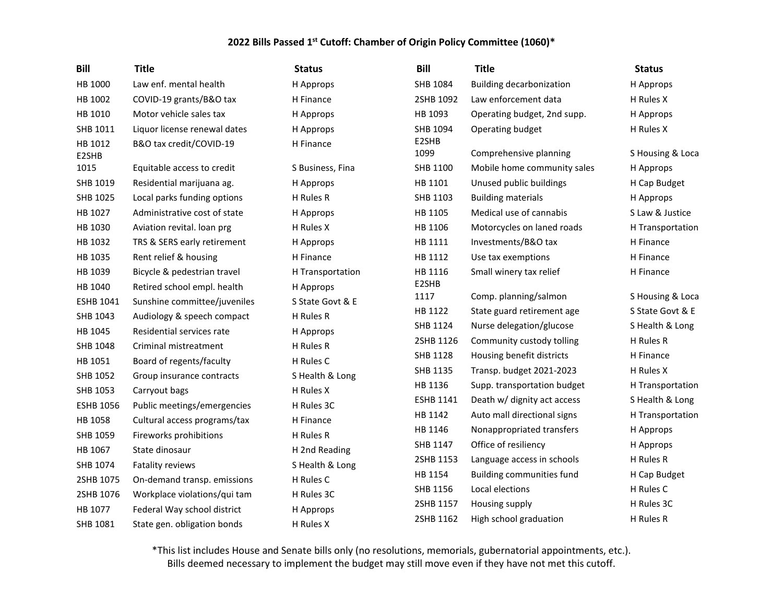| <b>Bill</b>      | <b>Title</b>                 | <b>Status</b>    | <b>Bill</b>      | <b>Title</b>                     | <b>Status</b>    |
|------------------|------------------------------|------------------|------------------|----------------------------------|------------------|
| HB 1000          | Law enf. mental health       | H Approps        | SHB 1084         | <b>Building decarbonization</b>  | H Approps        |
| HB 1002          | COVID-19 grants/B&O tax      | H Finance        | 2SHB 1092        | Law enforcement data             | H Rules X        |
| HB 1010          | Motor vehicle sales tax      | H Approps        | HB 1093          | Operating budget, 2nd supp.      | H Approps        |
| SHB 1011         | Liquor license renewal dates | H Approps        | SHB 1094         | Operating budget                 | H Rules X        |
| HB 1012<br>E2SHB | B&O tax credit/COVID-19      | H Finance        | E2SHB<br>1099    | Comprehensive planning           | S Housing & Loca |
| 1015             | Equitable access to credit   | S Business, Fina | SHB 1100         | Mobile home community sales      | H Approps        |
| SHB 1019         | Residential marijuana ag.    | H Approps        | HB 1101          | Unused public buildings          | H Cap Budget     |
| SHB 1025         | Local parks funding options  | H Rules R        | SHB 1103         | <b>Building materials</b>        | H Approps        |
| HB 1027          | Administrative cost of state | H Approps        | HB 1105          | Medical use of cannabis          | S Law & Justice  |
| HB 1030          | Aviation revital. Ioan prg   | H Rules X        | HB 1106          | Motorcycles on laned roads       | H Transportation |
| HB 1032          | TRS & SERS early retirement  | H Approps        | HB 1111          | Investments/B&O tax              | H Finance        |
| HB 1035          | Rent relief & housing        | H Finance        | HB 1112          | Use tax exemptions               | H Finance        |
| HB 1039          | Bicycle & pedestrian travel  | H Transportation | HB 1116          | Small winery tax relief          | H Finance        |
| HB 1040          | Retired school empl. health  | H Approps        | E2SHB            |                                  |                  |
| <b>ESHB 1041</b> | Sunshine committee/juveniles | S State Govt & E | 1117             | Comp. planning/salmon            | S Housing & Loca |
| SHB 1043         | Audiology & speech compact   | H Rules R        | HB 1122          | State guard retirement age       | S State Govt & E |
| HB 1045          | Residential services rate    | H Approps        | SHB 1124         | Nurse delegation/glucose         | S Health & Long  |
| SHB 1048         | Criminal mistreatment        | H Rules R        | 2SHB 1126        | Community custody tolling        | H Rules R        |
| HB 1051          | Board of regents/faculty     | H Rules C        | SHB 1128         | Housing benefit districts        | H Finance        |
| SHB 1052         | Group insurance contracts    | S Health & Long  | SHB 1135         | Transp. budget 2021-2023         | H Rules X        |
| SHB 1053         | Carryout bags                | H Rules X        | HB 1136          | Supp. transportation budget      | H Transportation |
| <b>ESHB 1056</b> | Public meetings/emergencies  | H Rules 3C       | <b>ESHB 1141</b> | Death w/ dignity act access      | S Health & Long  |
| HB 1058          | Cultural access programs/tax | H Finance        | HB 1142          | Auto mall directional signs      | H Transportation |
| SHB 1059         | Fireworks prohibitions       | H Rules R        | HB 1146          | Nonappropriated transfers        | H Approps        |
| HB 1067          | State dinosaur               | H 2nd Reading    | SHB 1147         | Office of resiliency             | H Approps        |
| SHB 1074         | Fatality reviews             | S Health & Long  | 2SHB 1153        | Language access in schools       | H Rules R        |
| 2SHB 1075        | On-demand transp. emissions  | H Rules C        | HB 1154          | <b>Building communities fund</b> | H Cap Budget     |
| 2SHB 1076        | Workplace violations/qui tam | H Rules 3C       | SHB 1156         | Local elections                  | H Rules C        |
| HB 1077          | Federal Way school district  | H Approps        | 2SHB 1157        | Housing supply                   | H Rules 3C       |
| SHB 1081         | State gen. obligation bonds  | H Rules X        | 2SHB 1162        | High school graduation           | H Rules R        |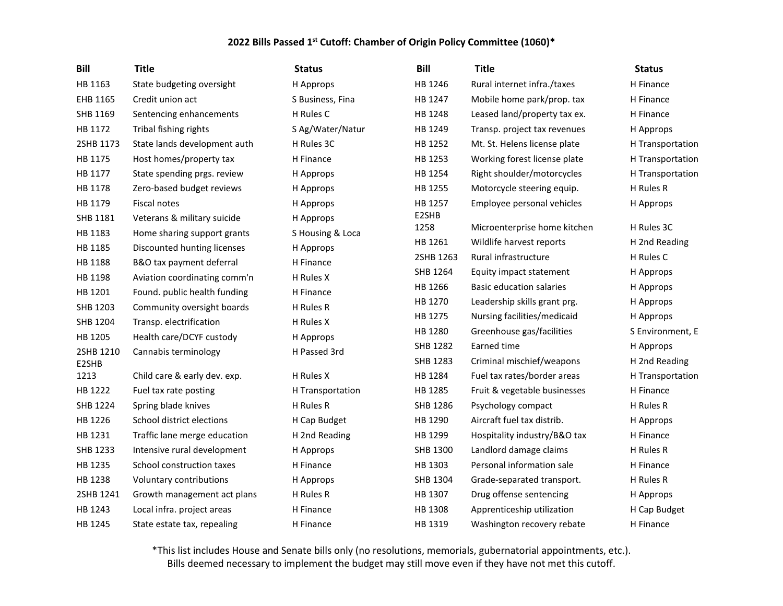| <b>Title</b>                 | <b>Status</b>                                                                                                                                                                                         | <b>Bill</b>                                                      | <b>Title</b>                             | <b>Status</b>                                                                    |
|------------------------------|-------------------------------------------------------------------------------------------------------------------------------------------------------------------------------------------------------|------------------------------------------------------------------|------------------------------------------|----------------------------------------------------------------------------------|
| State budgeting oversight    | H Approps                                                                                                                                                                                             | HB 1246                                                          | Rural internet infra./taxes              | H Finance                                                                        |
| Credit union act             | S Business, Fina                                                                                                                                                                                      | HB 1247                                                          | Mobile home park/prop. tax               | H Finance                                                                        |
| Sentencing enhancements      | H Rules C                                                                                                                                                                                             | HB 1248                                                          | Leased land/property tax ex.             | H Finance                                                                        |
| Tribal fishing rights        | S Ag/Water/Natur                                                                                                                                                                                      | HB 1249                                                          | Transp. project tax revenues             | H Approps                                                                        |
| State lands development auth | H Rules 3C                                                                                                                                                                                            | HB 1252                                                          | Mt. St. Helens license plate             | H Transportation                                                                 |
| Host homes/property tax      | H Finance                                                                                                                                                                                             | HB 1253                                                          | Working forest license plate             | H Transportation                                                                 |
| State spending prgs. review  | H Approps                                                                                                                                                                                             | HB 1254                                                          | Right shoulder/motorcycles               | H Transportation                                                                 |
| Zero-based budget reviews    | H Approps                                                                                                                                                                                             | HB 1255                                                          | Motorcycle steering equip.               | H Rules R                                                                        |
| <b>Fiscal notes</b>          | H Approps                                                                                                                                                                                             | HB 1257                                                          | Employee personal vehicles               | H Approps                                                                        |
| Veterans & military suicide  | H Approps                                                                                                                                                                                             | E2SHB                                                            |                                          |                                                                                  |
| Home sharing support grants  | S Housing & Loca                                                                                                                                                                                      |                                                                  |                                          | H Rules 3C                                                                       |
| Discounted hunting licenses  | H Approps                                                                                                                                                                                             |                                                                  |                                          | H 2nd Reading                                                                    |
|                              | H Finance                                                                                                                                                                                             |                                                                  |                                          | H Rules C                                                                        |
|                              | H Rules X                                                                                                                                                                                             |                                                                  | Equity impact statement                  | H Approps                                                                        |
|                              |                                                                                                                                                                                                       | HB 1266                                                          | <b>Basic education salaries</b>          | H Approps                                                                        |
|                              |                                                                                                                                                                                                       | HB 1270                                                          | Leadership skills grant prg.             | H Approps                                                                        |
|                              |                                                                                                                                                                                                       | HB 1275                                                          | Nursing facilities/medicaid              | H Approps                                                                        |
|                              |                                                                                                                                                                                                       | HB 1280                                                          | Greenhouse gas/facilities                | S Environment, E                                                                 |
|                              |                                                                                                                                                                                                       | SHB 1282                                                         | Earned time                              | H Approps                                                                        |
|                              |                                                                                                                                                                                                       | SHB 1283                                                         | Criminal mischief/weapons                | H 2nd Reading                                                                    |
| Child care & early dev. exp. | H Rules X                                                                                                                                                                                             | HB 1284                                                          | Fuel tax rates/border areas              | H Transportation                                                                 |
| Fuel tax rate posting        | H Transportation                                                                                                                                                                                      | HB 1285                                                          | Fruit & vegetable businesses             | H Finance                                                                        |
| Spring blade knives          | H Rules R                                                                                                                                                                                             | SHB 1286                                                         | Psychology compact                       | H Rules R                                                                        |
| School district elections    | H Cap Budget                                                                                                                                                                                          | HB 1290                                                          | Aircraft fuel tax distrib.               | H Approps                                                                        |
| Traffic lane merge education | H 2nd Reading                                                                                                                                                                                         | HB 1299                                                          | Hospitality industry/B&O tax             | H Finance                                                                        |
| Intensive rural development  | H Approps                                                                                                                                                                                             | SHB 1300                                                         | Landlord damage claims                   | H Rules R                                                                        |
| School construction taxes    | H Finance                                                                                                                                                                                             | HB 1303                                                          | Personal information sale                | H Finance                                                                        |
| Voluntary contributions      | H Approps                                                                                                                                                                                             | SHB 1304                                                         | Grade-separated transport.               | H Rules R                                                                        |
| Growth management act plans  | H Rules R                                                                                                                                                                                             | HB 1307                                                          | Drug offense sentencing                  | H Approps                                                                        |
| Local infra. project areas   | H Finance                                                                                                                                                                                             | HB 1308                                                          | Apprenticeship utilization               | H Cap Budget                                                                     |
| State estate tax, repealing  | H Finance                                                                                                                                                                                             | HB 1319                                                          | Washington recovery rebate               | H Finance                                                                        |
|                              | B&O tax payment deferral<br>Aviation coordinating comm'n<br>Found. public health funding<br>Community oversight boards<br>Transp. electrification<br>Health care/DCYF custody<br>Cannabis terminology | H Finance<br>H Rules R<br>H Rules X<br>H Approps<br>H Passed 3rd | 1258<br>HB 1261<br>2SHB 1263<br>SHB 1264 | Microenterprise home kitchen<br>Wildlife harvest reports<br>Rural infrastructure |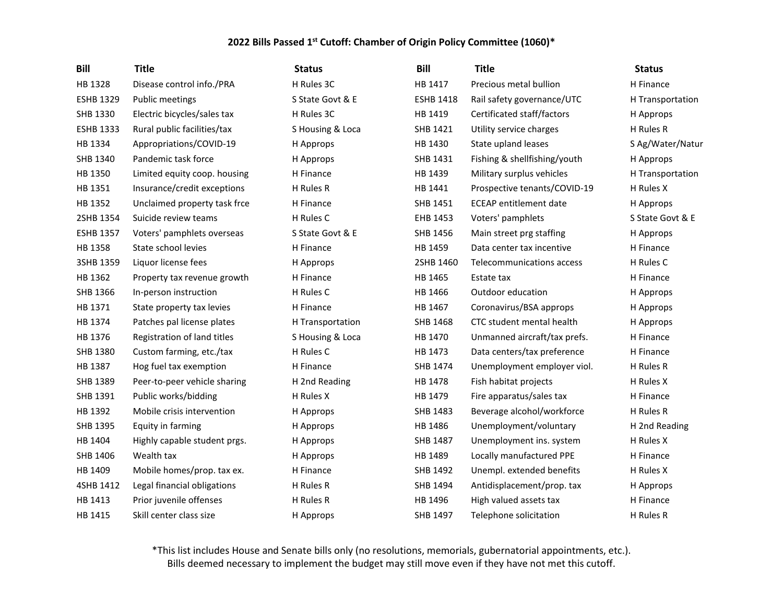| <b>Bill</b>      | <b>Title</b>                 | <b>Status</b>    | <b>Bill</b>      | <b>Title</b>                  | <b>Status</b>    |
|------------------|------------------------------|------------------|------------------|-------------------------------|------------------|
| HB 1328          | Disease control info./PRA    | H Rules 3C       | HB 1417          | Precious metal bullion        | H Finance        |
| <b>ESHB 1329</b> | Public meetings              | S State Govt & E | <b>ESHB 1418</b> | Rail safety governance/UTC    | H Transportation |
| SHB 1330         | Electric bicycles/sales tax  | H Rules 3C       | HB 1419          | Certificated staff/factors    | H Approps        |
| <b>ESHB 1333</b> | Rural public facilities/tax  | S Housing & Loca | SHB 1421         | Utility service charges       | H Rules R        |
| HB 1334          | Appropriations/COVID-19      | H Approps        | HB 1430          | State upland leases           | S Ag/Water/Natur |
| SHB 1340         | Pandemic task force          | H Approps        | SHB 1431         | Fishing & shellfishing/youth  | H Approps        |
| HB 1350          | Limited equity coop. housing | H Finance        | HB 1439          | Military surplus vehicles     | H Transportation |
| HB 1351          | Insurance/credit exceptions  | H Rules R        | HB 1441          | Prospective tenants/COVID-19  | H Rules X        |
| HB 1352          | Unclaimed property task frce | H Finance        | SHB 1451         | <b>ECEAP</b> entitlement date | H Approps        |
| 2SHB 1354        | Suicide review teams         | H Rules C        | EHB 1453         | Voters' pamphlets             | S State Govt & E |
| <b>ESHB 1357</b> | Voters' pamphlets overseas   | S State Govt & E | SHB 1456         | Main street prg staffing      | H Approps        |
| HB 1358          | State school levies          | H Finance        | HB 1459          | Data center tax incentive     | H Finance        |
| 3SHB 1359        | Liquor license fees          | H Approps        | 2SHB 1460        | Telecommunications access     | H Rules C        |
| HB 1362          | Property tax revenue growth  | H Finance        | HB 1465          | Estate tax                    | H Finance        |
| SHB 1366         | In-person instruction        | H Rules C        | HB 1466          | Outdoor education             | H Approps        |
| HB 1371          | State property tax levies    | H Finance        | HB 1467          | Coronavirus/BSA approps       | H Approps        |
| HB 1374          | Patches pal license plates   | H Transportation | SHB 1468         | CTC student mental health     | H Approps        |
| HB 1376          | Registration of land titles  | S Housing & Loca | HB 1470          | Unmanned aircraft/tax prefs.  | H Finance        |
| SHB 1380         | Custom farming, etc./tax     | H Rules C        | HB 1473          | Data centers/tax preference   | H Finance        |
| HB 1387          | Hog fuel tax exemption       | H Finance        | SHB 1474         | Unemployment employer viol.   | H Rules R        |
| SHB 1389         | Peer-to-peer vehicle sharing | H 2nd Reading    | HB 1478          | Fish habitat projects         | H Rules X        |
| SHB 1391         | Public works/bidding         | H Rules X        | HB 1479          | Fire apparatus/sales tax      | H Finance        |
| HB 1392          | Mobile crisis intervention   | H Approps        | SHB 1483         | Beverage alcohol/workforce    | H Rules R        |
| SHB 1395         | Equity in farming            | H Approps        | HB 1486          | Unemployment/voluntary        | H 2nd Reading    |
| HB 1404          | Highly capable student prgs. | H Approps        | SHB 1487         | Unemployment ins. system      | H Rules X        |
| SHB 1406         | Wealth tax                   | H Approps        | HB 1489          | Locally manufactured PPE      | H Finance        |
| HB 1409          | Mobile homes/prop. tax ex.   | H Finance        | SHB 1492         | Unempl. extended benefits     | H Rules X        |
| 4SHB 1412        | Legal financial obligations  | H Rules R        | SHB 1494         | Antidisplacement/prop. tax    | H Approps        |
| HB 1413          | Prior juvenile offenses      | H Rules R        | HB 1496          | High valued assets tax        | H Finance        |
| HB 1415          | Skill center class size      | H Approps        | <b>SHB 1497</b>  | Telephone solicitation        | H Rules R        |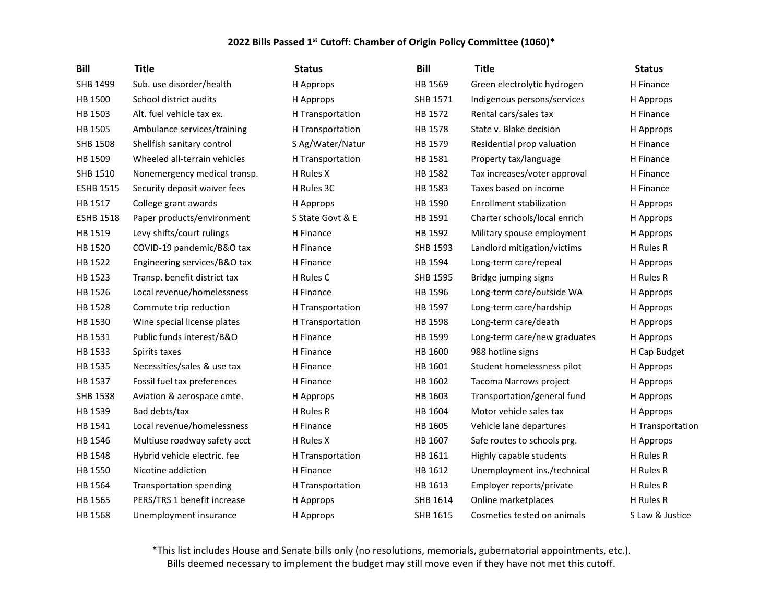| <b>Bill</b>      | <b>Title</b>                   | <b>Status</b>    | <b>Bill</b>     | <b>Title</b>                    | <b>Status</b>    |
|------------------|--------------------------------|------------------|-----------------|---------------------------------|------------------|
| SHB 1499         | Sub. use disorder/health       | H Approps        | HB 1569         | Green electrolytic hydrogen     | H Finance        |
| HB 1500          | School district audits         | H Approps        | SHB 1571        | Indigenous persons/services     | H Approps        |
| HB 1503          | Alt. fuel vehicle tax ex.      | H Transportation | HB 1572         | Rental cars/sales tax           | H Finance        |
| HB 1505          | Ambulance services/training    | H Transportation | HB 1578         | State v. Blake decision         | H Approps        |
| <b>SHB 1508</b>  | Shellfish sanitary control     | S Ag/Water/Natur | HB 1579         | Residential prop valuation      | H Finance        |
| HB 1509          | Wheeled all-terrain vehicles   | H Transportation | HB 1581         | Property tax/language           | H Finance        |
| SHB 1510         | Nonemergency medical transp.   | H Rules X        | HB 1582         | Tax increases/voter approval    | H Finance        |
| <b>ESHB 1515</b> | Security deposit waiver fees   | H Rules 3C       | HB 1583         | Taxes based on income           | H Finance        |
| HB 1517          | College grant awards           | H Approps        | HB 1590         | <b>Enrollment stabilization</b> | H Approps        |
| <b>ESHB 1518</b> | Paper products/environment     | S State Govt & E | HB 1591         | Charter schools/local enrich    | H Approps        |
| HB 1519          | Levy shifts/court rulings      | H Finance        | HB 1592         | Military spouse employment      | H Approps        |
| HB 1520          | COVID-19 pandemic/B&O tax      | H Finance        | SHB 1593        | Landlord mitigation/victims     | H Rules R        |
| HB 1522          | Engineering services/B&O tax   | H Finance        | HB 1594         | Long-term care/repeal           | H Approps        |
| HB 1523          | Transp. benefit district tax   | H Rules C        | SHB 1595        | Bridge jumping signs            | H Rules R        |
| HB 1526          | Local revenue/homelessness     | H Finance        | HB 1596         | Long-term care/outside WA       | H Approps        |
| HB 1528          | Commute trip reduction         | H Transportation | HB 1597         | Long-term care/hardship         | H Approps        |
| HB 1530          | Wine special license plates    | H Transportation | HB 1598         | Long-term care/death            | H Approps        |
| HB 1531          | Public funds interest/B&O      | H Finance        | HB 1599         | Long-term care/new graduates    | H Approps        |
| HB 1533          | Spirits taxes                  | H Finance        | HB 1600         | 988 hotline signs               | H Cap Budget     |
| HB 1535          | Necessities/sales & use tax    | H Finance        | HB 1601         | Student homelessness pilot      | H Approps        |
| HB 1537          | Fossil fuel tax preferences    | H Finance        | HB 1602         | Tacoma Narrows project          | H Approps        |
| <b>SHB 1538</b>  | Aviation & aerospace cmte.     | H Approps        | HB 1603         | Transportation/general fund     | H Approps        |
| HB 1539          | Bad debts/tax                  | H Rules R        | HB 1604         | Motor vehicle sales tax         | H Approps        |
| HB 1541          | Local revenue/homelessness     | H Finance        | HB 1605         | Vehicle lane departures         | H Transportation |
| HB 1546          | Multiuse roadway safety acct   | H Rules X        | HB 1607         | Safe routes to schools prg.     | H Approps        |
| HB 1548          | Hybrid vehicle electric. fee   | H Transportation | HB 1611         | Highly capable students         | H Rules R        |
| HB 1550          | Nicotine addiction             | H Finance        | HB 1612         | Unemployment ins./technical     | H Rules R        |
| HB 1564          | <b>Transportation spending</b> | H Transportation | HB 1613         | Employer reports/private        | H Rules R        |
| HB 1565          | PERS/TRS 1 benefit increase    | H Approps        | SHB 1614        | Online marketplaces             | H Rules R        |
| HB 1568          | Unemployment insurance         | H Approps        | <b>SHB 1615</b> | Cosmetics tested on animals     | S Law & Justice  |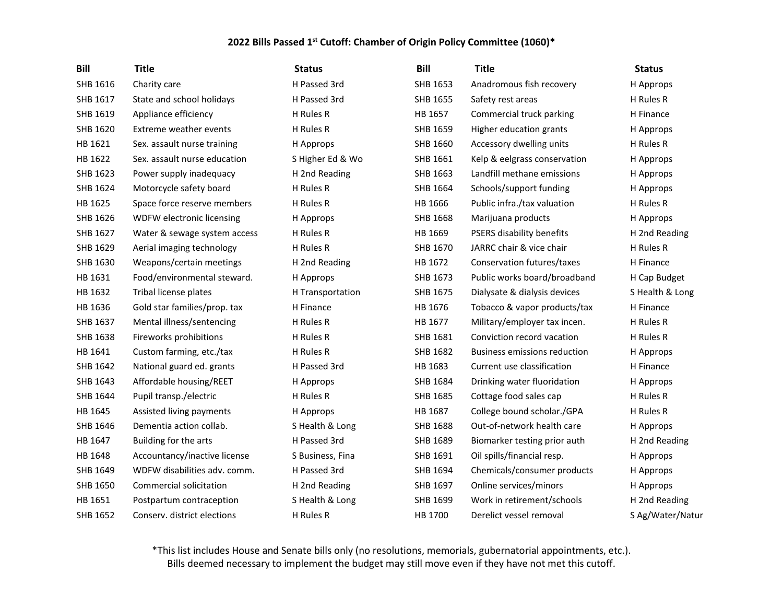| <b>Bill</b> | <b>Title</b>                 | <b>Status</b>    | <b>Bill</b>     | <b>Title</b>                 | <b>Status</b>    |
|-------------|------------------------------|------------------|-----------------|------------------------------|------------------|
| SHB 1616    | Charity care                 | H Passed 3rd     | SHB 1653        | Anadromous fish recovery     | H Approps        |
| SHB 1617    | State and school holidays    | H Passed 3rd     | SHB 1655        | Safety rest areas            | H Rules R        |
| SHB 1619    | Appliance efficiency         | H Rules R        | HB 1657         | Commercial truck parking     | H Finance        |
| SHB 1620    | Extreme weather events       | H Rules R        | SHB 1659        | Higher education grants      | H Approps        |
| HB 1621     | Sex. assault nurse training  | H Approps        | SHB 1660        | Accessory dwelling units     | H Rules R        |
| HB 1622     | Sex. assault nurse education | S Higher Ed & Wo | SHB 1661        | Kelp & eelgrass conservation | H Approps        |
| SHB 1623    | Power supply inadequacy      | H 2nd Reading    | SHB 1663        | Landfill methane emissions   | H Approps        |
| SHB 1624    | Motorcycle safety board      | H Rules R        | SHB 1664        | Schools/support funding      | H Approps        |
| HB 1625     | Space force reserve members  | H Rules R        | HB 1666         | Public infra./tax valuation  | H Rules R        |
| SHB 1626    | WDFW electronic licensing    | H Approps        | SHB 1668        | Marijuana products           | H Approps        |
| SHB 1627    | Water & sewage system access | H Rules R        | HB 1669         | PSERS disability benefits    | H 2nd Reading    |
| SHB 1629    | Aerial imaging technology    | H Rules R        | SHB 1670        | JARRC chair & vice chair     | H Rules R        |
| SHB 1630    | Weapons/certain meetings     | H 2nd Reading    | HB 1672         | Conservation futures/taxes   | H Finance        |
| HB 1631     | Food/environmental steward.  | H Approps        | SHB 1673        | Public works board/broadband | H Cap Budget     |
| HB 1632     | Tribal license plates        | H Transportation | SHB 1675        | Dialysate & dialysis devices | S Health & Long  |
| HB 1636     | Gold star families/prop. tax | H Finance        | HB 1676         | Tobacco & vapor products/tax | H Finance        |
| SHB 1637    | Mental illness/sentencing    | H Rules R        | HB 1677         | Military/employer tax incen. | H Rules R        |
| SHB 1638    | Fireworks prohibitions       | H Rules R        | SHB 1681        | Conviction record vacation   | H Rules R        |
| HB 1641     | Custom farming, etc./tax     | H Rules R        | SHB 1682        | Business emissions reduction | H Approps        |
| SHB 1642    | National guard ed. grants    | H Passed 3rd     | HB 1683         | Current use classification   | H Finance        |
| SHB 1643    | Affordable housing/REET      | H Approps        | SHB 1684        | Drinking water fluoridation  | H Approps        |
| SHB 1644    | Pupil transp./electric       | H Rules R        | SHB 1685        | Cottage food sales cap       | H Rules R        |
| HB 1645     | Assisted living payments     | H Approps        | HB 1687         | College bound scholar./GPA   | H Rules R        |
| SHB 1646    | Dementia action collab.      | S Health & Long  | <b>SHB 1688</b> | Out-of-network health care   | H Approps        |
| HB 1647     | Building for the arts        | H Passed 3rd     | SHB 1689        | Biomarker testing prior auth | H 2nd Reading    |
| HB 1648     | Accountancy/inactive license | S Business, Fina | SHB 1691        | Oil spills/financial resp.   | H Approps        |
| SHB 1649    | WDFW disabilities adv. comm. | H Passed 3rd     | SHB 1694        | Chemicals/consumer products  | H Approps        |
| SHB 1650    | Commercial solicitation      | H 2nd Reading    | SHB 1697        | Online services/minors       | H Approps        |
| HB 1651     | Postpartum contraception     | S Health & Long  | SHB 1699        | Work in retirement/schools   | H 2nd Reading    |
| SHB 1652    | Conserv. district elections  | H Rules R        | HB 1700         | Derelict vessel removal      | S Ag/Water/Natur |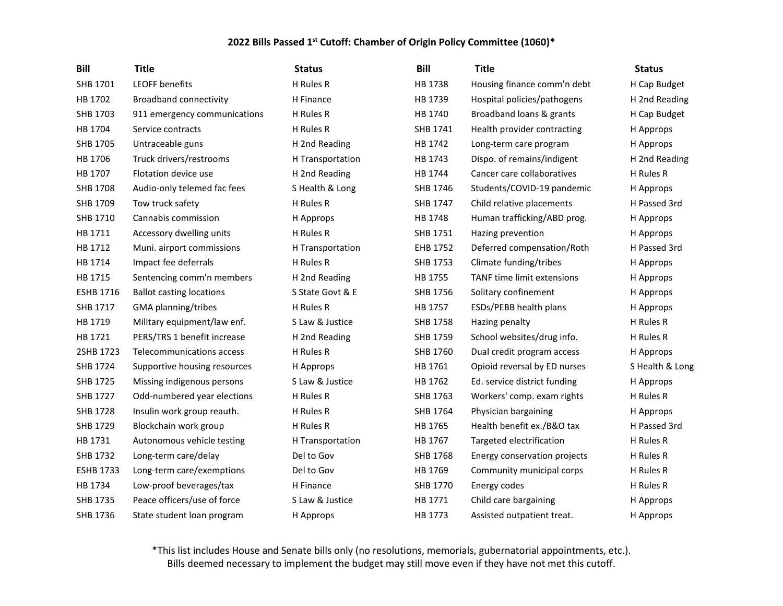| <b>Bill</b>      | <b>Title</b>                    | <b>Status</b>    | Bill            | <b>Title</b>                 | <b>Status</b>   |
|------------------|---------------------------------|------------------|-----------------|------------------------------|-----------------|
| SHB 1701         | <b>LEOFF benefits</b>           | H Rules R        | HB 1738         | Housing finance comm'n debt  | H Cap Budget    |
| HB 1702          | <b>Broadband connectivity</b>   | H Finance        | HB 1739         | Hospital policies/pathogens  | H 2nd Reading   |
| SHB 1703         | 911 emergency communications    | H Rules R        | HB 1740         | Broadband loans & grants     | H Cap Budget    |
| HB 1704          | Service contracts               | H Rules R        | SHB 1741        | Health provider contracting  | H Approps       |
| SHB 1705         | Untraceable guns                | H 2nd Reading    | HB 1742         | Long-term care program       | H Approps       |
| HB 1706          | Truck drivers/restrooms         | H Transportation | HB 1743         | Dispo. of remains/indigent   | H 2nd Reading   |
| HB 1707          | Flotation device use            | H 2nd Reading    | HB 1744         | Cancer care collaboratives   | H Rules R       |
| SHB 1708         | Audio-only telemed fac fees     | S Health & Long  | SHB 1746        | Students/COVID-19 pandemic   | H Approps       |
| SHB 1709         | Tow truck safety                | H Rules R        | SHB 1747        | Child relative placements    | H Passed 3rd    |
| SHB 1710         | Cannabis commission             | H Approps        | HB 1748         | Human trafficking/ABD prog.  | H Approps       |
| HB 1711          | Accessory dwelling units        | H Rules R        | SHB 1751        | Hazing prevention            | H Approps       |
| HB 1712          | Muni. airport commissions       | H Transportation | EHB 1752        | Deferred compensation/Roth   | H Passed 3rd    |
| HB 1714          | Impact fee deferrals            | H Rules R        | SHB 1753        | Climate funding/tribes       | H Approps       |
| HB 1715          | Sentencing comm'n members       | H 2nd Reading    | HB 1755         | TANF time limit extensions   | H Approps       |
| <b>ESHB 1716</b> | <b>Ballot casting locations</b> | S State Govt & E | SHB 1756        | Solitary confinement         | H Approps       |
| SHB 1717         | GMA planning/tribes             | H Rules R        | HB 1757         | ESDs/PEBB health plans       | H Approps       |
| HB 1719          | Military equipment/law enf.     | S Law & Justice  | <b>SHB 1758</b> | Hazing penalty               | H Rules R       |
| HB 1721          | PERS/TRS 1 benefit increase     | H 2nd Reading    | SHB 1759        | School websites/drug info.   | H Rules R       |
| 2SHB 1723        | Telecommunications access       | H Rules R        | SHB 1760        | Dual credit program access   | H Approps       |
| SHB 1724         | Supportive housing resources    | H Approps        | HB 1761         | Opioid reversal by ED nurses | S Health & Long |
| SHB 1725         | Missing indigenous persons      | S Law & Justice  | HB 1762         | Ed. service district funding | H Approps       |
| SHB 1727         | Odd-numbered year elections     | H Rules R        | SHB 1763        | Workers' comp. exam rights   | H Rules R       |
| SHB 1728         | Insulin work group reauth.      | H Rules R        | SHB 1764        | Physician bargaining         | H Approps       |
| SHB 1729         | Blockchain work group           | H Rules R        | HB 1765         | Health benefit ex./B&O tax   | H Passed 3rd    |
| HB 1731          | Autonomous vehicle testing      | H Transportation | HB 1767         | Targeted electrification     | H Rules R       |
| SHB 1732         | Long-term care/delay            | Del to Gov       | SHB 1768        | Energy conservation projects | H Rules R       |
| <b>ESHB 1733</b> | Long-term care/exemptions       | Del to Gov       | HB 1769         | Community municipal corps    | H Rules R       |
| HB 1734          | Low-proof beverages/tax         | H Finance        | SHB 1770        | Energy codes                 | H Rules R       |
| SHB 1735         | Peace officers/use of force     | S Law & Justice  | HB 1771         | Child care bargaining        | H Approps       |
| SHB 1736         | State student loan program      | H Approps        | HB 1773         | Assisted outpatient treat.   | H Approps       |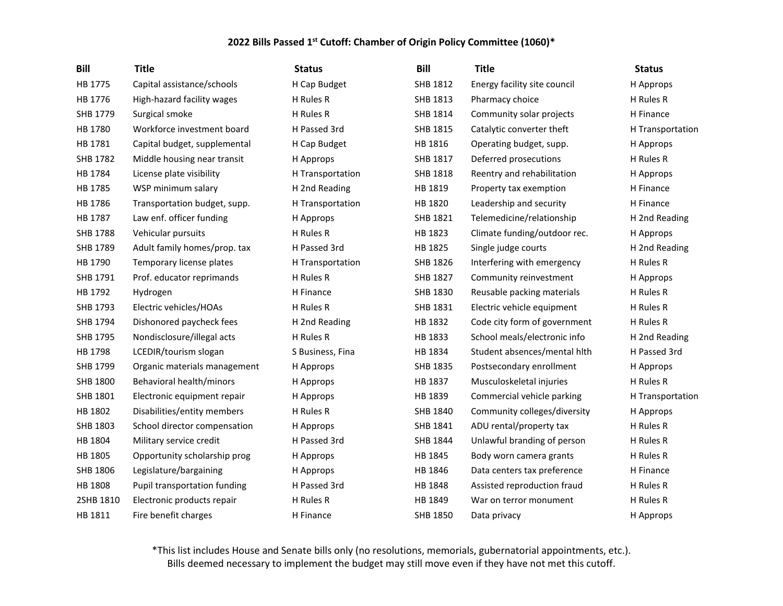| <b>Bill</b>     | <b>Title</b>                 | <b>Status</b>    | <b>Bill</b>     | <b>Title</b>                 | <b>Status</b>    |
|-----------------|------------------------------|------------------|-----------------|------------------------------|------------------|
| HB 1775         | Capital assistance/schools   | H Cap Budget     | SHB 1812        | Energy facility site council | H Approps        |
| HB 1776         | High-hazard facility wages   | H Rules R        | SHB 1813        | Pharmacy choice              | H Rules R        |
| SHB 1779        | Surgical smoke               | H Rules R        | SHB 1814        | Community solar projects     | H Finance        |
| HB 1780         | Workforce investment board   | H Passed 3rd     | SHB 1815        | Catalytic converter theft    | H Transportation |
| HB 1781         | Capital budget, supplemental | H Cap Budget     | HB 1816         | Operating budget, supp.      | H Approps        |
| SHB 1782        | Middle housing near transit  | H Approps        | SHB 1817        | Deferred prosecutions        | H Rules R        |
| HB 1784         | License plate visibility     | H Transportation | SHB 1818        | Reentry and rehabilitation   | H Approps        |
| HB 1785         | WSP minimum salary           | H 2nd Reading    | HB 1819         | Property tax exemption       | H Finance        |
| HB 1786         | Transportation budget, supp. | H Transportation | HB 1820         | Leadership and security      | H Finance        |
| HB 1787         | Law enf. officer funding     | H Approps        | SHB 1821        | Telemedicine/relationship    | H 2nd Reading    |
| SHB 1788        | Vehicular pursuits           | H Rules R        | HB 1823         | Climate funding/outdoor rec. | H Approps        |
| SHB 1789        | Adult family homes/prop. tax | H Passed 3rd     | HB 1825         | Single judge courts          | H 2nd Reading    |
| HB 1790         | Temporary license plates     | H Transportation | SHB 1826        | Interfering with emergency   | H Rules R        |
| SHB 1791        | Prof. educator reprimands    | H Rules R        | SHB 1827        | Community reinvestment       | H Approps        |
| HB 1792         | Hydrogen                     | H Finance        | SHB 1830        | Reusable packing materials   | H Rules R        |
| SHB 1793        | Electric vehicles/HOAs       | H Rules R        | SHB 1831        | Electric vehicle equipment   | H Rules R        |
| SHB 1794        | Dishonored paycheck fees     | H 2nd Reading    | HB 1832         | Code city form of government | H Rules R        |
| SHB 1795        | Nondisclosure/illegal acts   | H Rules R        | HB 1833         | School meals/electronic info | H 2nd Reading    |
| HB 1798         | LCEDIR/tourism slogan        | S Business, Fina | HB 1834         | Student absences/mental hith | H Passed 3rd     |
| SHB 1799        | Organic materials management | H Approps        | SHB 1835        | Postsecondary enrollment     | H Approps        |
| <b>SHB 1800</b> | Behavioral health/minors     | H Approps        | HB 1837         | Musculoskeletal injuries     | H Rules R        |
| SHB 1801        | Electronic equipment repair  | H Approps        | HB 1839         | Commercial vehicle parking   | H Transportation |
| HB 1802         | Disabilities/entity members  | H Rules R        | SHB 1840        | Community colleges/diversity | H Approps        |
| SHB 1803        | School director compensation | H Approps        | SHB 1841        | ADU rental/property tax      | H Rules R        |
| HB 1804         | Military service credit      | H Passed 3rd     | SHB 1844        | Unlawful branding of person  | H Rules R        |
| HB 1805         | Opportunity scholarship prog | H Approps        | HB 1845         | Body worn camera grants      | H Rules R        |
| SHB 1806        | Legislature/bargaining       | H Approps        | HB 1846         | Data centers tax preference  | H Finance        |
| HB 1808         | Pupil transportation funding | H Passed 3rd     | HB 1848         | Assisted reproduction fraud  | H Rules R        |
| 2SHB 1810       | Electronic products repair   | H Rules R        | HB 1849         | War on terror monument       | H Rules R        |
| HB 1811         | Fire benefit charges         | H Finance        | <b>SHB 1850</b> | Data privacy                 | H Approps        |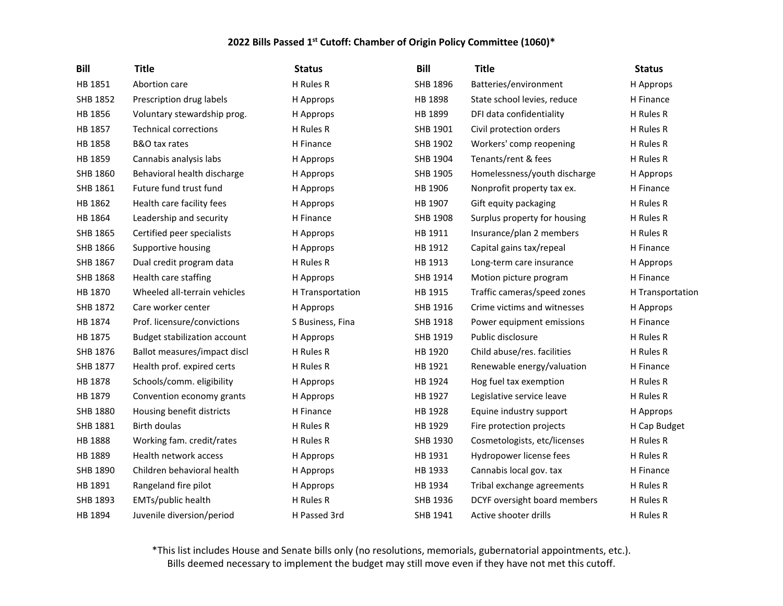| <b>Bill</b>     | <b>Title</b>                        | <b>Status</b>    | <b>Bill</b> | <b>Title</b>                 | <b>Status</b>    |
|-----------------|-------------------------------------|------------------|-------------|------------------------------|------------------|
| HB 1851         | Abortion care                       | H Rules R        | SHB 1896    | Batteries/environment        | H Approps        |
| SHB 1852        | Prescription drug labels            | H Approps        | HB 1898     | State school levies, reduce  | H Finance        |
| HB 1856         | Voluntary stewardship prog.         | H Approps        | HB 1899     | DFI data confidentiality     | H Rules R        |
| HB 1857         | <b>Technical corrections</b>        | H Rules R        | SHB 1901    | Civil protection orders      | H Rules R        |
| HB 1858         | B&O tax rates                       | H Finance        | SHB 1902    | Workers' comp reopening      | H Rules R        |
| HB 1859         | Cannabis analysis labs              | H Approps        | SHB 1904    | Tenants/rent & fees          | H Rules R        |
| SHB 1860        | Behavioral health discharge         | H Approps        | SHB 1905    | Homelessness/youth discharge | H Approps        |
| SHB 1861        | Future fund trust fund              | H Approps        | HB 1906     | Nonprofit property tax ex.   | H Finance        |
| HB 1862         | Health care facility fees           | H Approps        | HB 1907     | Gift equity packaging        | H Rules R        |
| HB 1864         | Leadership and security             | H Finance        | SHB 1908    | Surplus property for housing | H Rules R        |
| SHB 1865        | Certified peer specialists          | H Approps        | HB 1911     | Insurance/plan 2 members     | H Rules R        |
| SHB 1866        | Supportive housing                  | H Approps        | HB 1912     | Capital gains tax/repeal     | H Finance        |
| SHB 1867        | Dual credit program data            | H Rules R        | HB 1913     | Long-term care insurance     | H Approps        |
| <b>SHB 1868</b> | Health care staffing                | H Approps        | SHB 1914    | Motion picture program       | H Finance        |
| HB 1870         | Wheeled all-terrain vehicles        | H Transportation | HB 1915     | Traffic cameras/speed zones  | H Transportation |
| SHB 1872        | Care worker center                  | H Approps        | SHB 1916    | Crime victims and witnesses  | H Approps        |
| HB 1874         | Prof. licensure/convictions         | S Business, Fina | SHB 1918    | Power equipment emissions    | H Finance        |
| HB 1875         | <b>Budget stabilization account</b> | H Approps        | SHB 1919    | Public disclosure            | H Rules R        |
| SHB 1876        | Ballot measures/impact discl        | H Rules R        | HB 1920     | Child abuse/res. facilities  | H Rules R        |
| SHB 1877        | Health prof. expired certs          | H Rules R        | HB 1921     | Renewable energy/valuation   | H Finance        |
| HB 1878         | Schools/comm. eligibility           | H Approps        | HB 1924     | Hog fuel tax exemption       | H Rules R        |
| HB 1879         | Convention economy grants           | H Approps        | HB 1927     | Legislative service leave    | H Rules R        |
| SHB 1880        | Housing benefit districts           | H Finance        | HB 1928     | Equine industry support      | H Approps        |
| SHB 1881        | Birth doulas                        | H Rules R        | HB 1929     | Fire protection projects     | H Cap Budget     |
| HB 1888         | Working fam. credit/rates           | H Rules R        | SHB 1930    | Cosmetologists, etc/licenses | H Rules R        |
| HB 1889         | Health network access               | H Approps        | HB 1931     | Hydropower license fees      | H Rules R        |
| SHB 1890        | Children behavioral health          | H Approps        | HB 1933     | Cannabis local gov. tax      | H Finance        |
| HB 1891         | Rangeland fire pilot                | H Approps        | HB 1934     | Tribal exchange agreements   | H Rules R        |
| SHB 1893        | EMTs/public health                  | H Rules R        | SHB 1936    | DCYF oversight board members | H Rules R        |
| HB 1894         | Juvenile diversion/period           | H Passed 3rd     | SHB 1941    | Active shooter drills        | H Rules R        |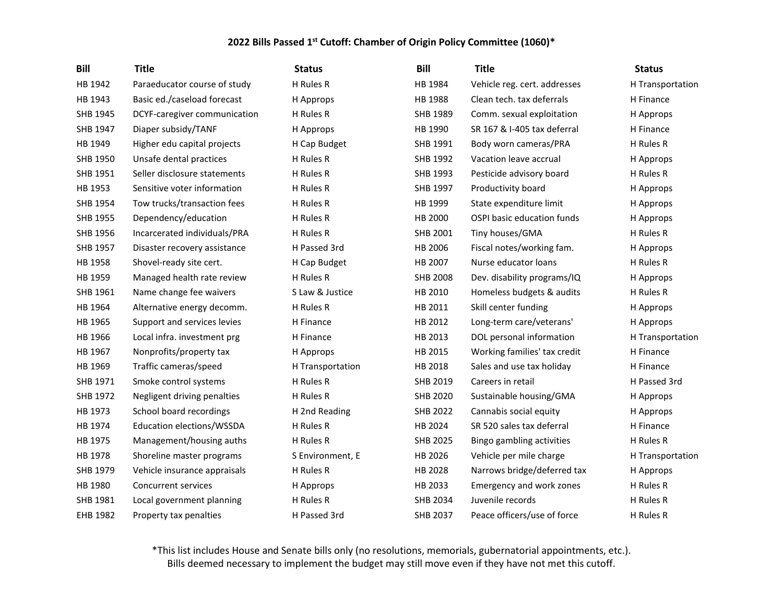| Bill     | <b>Title</b>                 | <b>Status</b>    | <b>Bill</b>     | <b>Title</b>                 | <b>Status</b>    |
|----------|------------------------------|------------------|-----------------|------------------------------|------------------|
| HB 1942  | Paraeducator course of study | H Rules R        | HB 1984         | Vehicle reg. cert. addresses | H Transportation |
| HB 1943  | Basic ed./caseload forecast  | H Approps        | HB 1988         | Clean tech. tax deferrals    | H Finance        |
| SHB 1945 | DCYF-caregiver communication | H Rules R        | SHB 1989        | Comm. sexual exploitation    | H Approps        |
| SHB 1947 | Diaper subsidy/TANF          | H Approps        | HB 1990         | SR 167 & I-405 tax deferral  | H Finance        |
| HB 1949  | Higher edu capital projects  | H Cap Budget     | SHB 1991        | Body worn cameras/PRA        | H Rules R        |
| SHB 1950 | Unsafe dental practices      | H Rules R        | SHB 1992        | Vacation leave accrual       | H Approps        |
| SHB 1951 | Seller disclosure statements | H Rules R        | SHB 1993        | Pesticide advisory board     | H Rules R        |
| HB 1953  | Sensitive voter information  | H Rules R        | SHB 1997        | Productivity board           | H Approps        |
| SHB 1954 | Tow trucks/transaction fees  | H Rules R        | HB 1999         | State expenditure limit      | H Approps        |
| SHB 1955 | Dependency/education         | H Rules R        | HB 2000         | OSPI basic education funds   | H Approps        |
| SHB 1956 | Incarcerated individuals/PRA | H Rules R        | SHB 2001        | Tiny houses/GMA              | H Rules R        |
| SHB 1957 | Disaster recovery assistance | H Passed 3rd     | HB 2006         | Fiscal notes/working fam.    | H Approps        |
| HB 1958  | Shovel-ready site cert.      | H Cap Budget     | HB 2007         | Nurse educator loans         | H Rules R        |
| HB 1959  | Managed health rate review   | H Rules R        | <b>SHB 2008</b> | Dev. disability programs/IQ  | H Approps        |
| SHB 1961 | Name change fee waivers      | S Law & Justice  | HB 2010         | Homeless budgets & audits    | H Rules R        |
| HB 1964  | Alternative energy decomm.   | H Rules R        | HB 2011         | Skill center funding         | H Approps        |
| HB 1965  | Support and services levies  | H Finance        | HB 2012         | Long-term care/veterans'     | H Approps        |
| HB 1966  | Local infra. investment prg  | H Finance        | HB 2013         | DOL personal information     | H Transportation |
| HB 1967  | Nonprofits/property tax      | H Approps        | HB 2015         | Working families' tax credit | H Finance        |
| HB 1969  | Traffic cameras/speed        | H Transportation | HB 2018         | Sales and use tax holiday    | H Finance        |
| SHB 1971 | Smoke control systems        | H Rules R        | SHB 2019        | Careers in retail            | H Passed 3rd     |
| SHB 1972 | Negligent driving penalties  | H Rules R        | SHB 2020        | Sustainable housing/GMA      | H Approps        |
| HB 1973  | School board recordings      | H 2nd Reading    | SHB 2022        | Cannabis social equity       | H Approps        |
| HB 1974  | Education elections/WSSDA    | H Rules R        | HB 2024         | SR 520 sales tax deferral    | H Finance        |
| HB 1975  | Management/housing auths     | H Rules R        | <b>SHB 2025</b> | Bingo gambling activities    | H Rules R        |
| HB 1978  | Shoreline master programs    | S Environment, E | HB 2026         | Vehicle per mile charge      | H Transportation |
| SHB 1979 | Vehicle insurance appraisals | H Rules R        | HB 2028         | Narrows bridge/deferred tax  | H Approps        |
| HB 1980  | Concurrent services          | H Approps        | HB 2033         | Emergency and work zones     | H Rules R        |
| SHB 1981 | Local government planning    | H Rules R        | SHB 2034        | Juvenile records             | H Rules R        |
| EHB 1982 | Property tax penalties       | H Passed 3rd     | <b>SHB 2037</b> | Peace officers/use of force  | H Rules R        |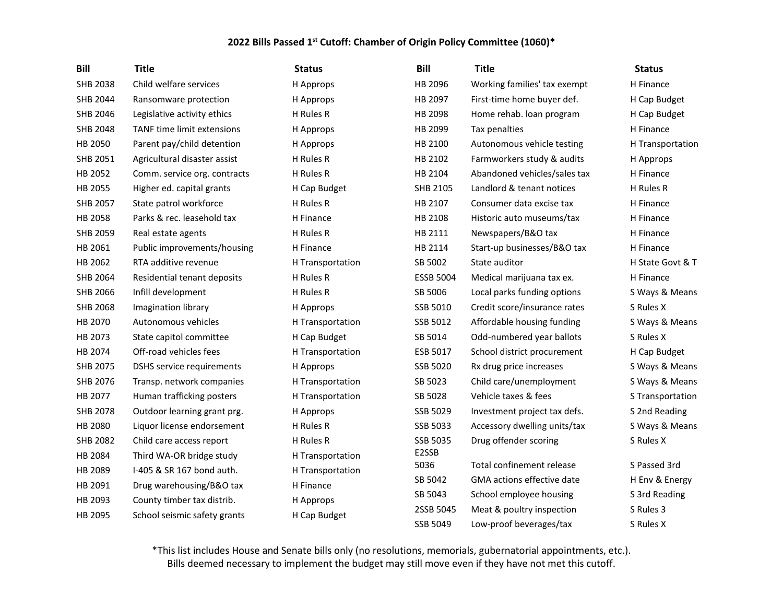| <b>Bill</b>     | <b>Title</b>                 | <b>Status</b>    | <b>Bill</b>      | <b>Title</b>                 | <b>Status</b>    |
|-----------------|------------------------------|------------------|------------------|------------------------------|------------------|
| SHB 2038        | Child welfare services       | H Approps        | HB 2096          | Working families' tax exempt | H Finance        |
| SHB 2044        | Ransomware protection        | H Approps        | HB 2097          | First-time home buyer def.   | H Cap Budget     |
| SHB 2046        | Legislative activity ethics  | H Rules R        | HB 2098          | Home rehab. Ioan program     | H Cap Budget     |
| <b>SHB 2048</b> | TANF time limit extensions   | H Approps        | HB 2099          | Tax penalties                | H Finance        |
| HB 2050         | Parent pay/child detention   | H Approps        | HB 2100          | Autonomous vehicle testing   | H Transportation |
| SHB 2051        | Agricultural disaster assist | H Rules R        | HB 2102          | Farmworkers study & audits   | H Approps        |
| HB 2052         | Comm. service org. contracts | H Rules R        | HB 2104          | Abandoned vehicles/sales tax | H Finance        |
| HB 2055         | Higher ed. capital grants    | H Cap Budget     | SHB 2105         | Landlord & tenant notices    | H Rules R        |
| SHB 2057        | State patrol workforce       | H Rules R        | HB 2107          | Consumer data excise tax     | H Finance        |
| HB 2058         | Parks & rec. leasehold tax   | H Finance        | HB 2108          | Historic auto museums/tax    | H Finance        |
| SHB 2059        | Real estate agents           | H Rules R        | HB 2111          | Newspapers/B&O tax           | H Finance        |
| HB 2061         | Public improvements/housing  | H Finance        | HB 2114          | Start-up businesses/B&O tax  | H Finance        |
| HB 2062         | RTA additive revenue         | H Transportation | SB 5002          | State auditor                | H State Govt & T |
| SHB 2064        | Residential tenant deposits  | H Rules R        | <b>ESSB 5004</b> | Medical marijuana tax ex.    | H Finance        |
| SHB 2066        | Infill development           | H Rules R        | SB 5006          | Local parks funding options  | S Ways & Means   |
| <b>SHB 2068</b> | Imagination library          | H Approps        | SSB 5010         | Credit score/insurance rates | S Rules X        |
| HB 2070         | Autonomous vehicles          | H Transportation | SSB 5012         | Affordable housing funding   | S Ways & Means   |
| HB 2073         | State capitol committee      | H Cap Budget     | SB 5014          | Odd-numbered year ballots    | S Rules X        |
| HB 2074         | Off-road vehicles fees       | H Transportation | ESB 5017         | School district procurement  | H Cap Budget     |
| SHB 2075        | DSHS service requirements    | H Approps        | SSB 5020         | Rx drug price increases      | S Ways & Means   |
| SHB 2076        | Transp. network companies    | H Transportation | SB 5023          | Child care/unemployment      | S Ways & Means   |
| HB 2077         | Human trafficking posters    | H Transportation | SB 5028          | Vehicle taxes & fees         | S Transportation |
| SHB 2078        | Outdoor learning grant prg.  | H Approps        | SSB 5029         | Investment project tax defs. | S 2nd Reading    |
| HB 2080         | Liquor license endorsement   | H Rules R        | SSB 5033         | Accessory dwelling units/tax | S Ways & Means   |
| <b>SHB 2082</b> | Child care access report     | H Rules R        | SSB 5035         | Drug offender scoring        | S Rules X        |
| HB 2084         | Third WA-OR bridge study     | H Transportation | E2SSB<br>5036    | Total confinement release    |                  |
| HB 2089         | I-405 & SR 167 bond auth.    | H Transportation |                  | GMA actions effective date   | S Passed 3rd     |
| HB 2091         | Drug warehousing/B&O tax     | H Finance        | SB 5042          |                              | H Env & Energy   |
| HB 2093         | County timber tax distrib.   | H Approps        | SB 5043          | School employee housing      | S 3rd Reading    |
| HB 2095         | School seismic safety grants | H Cap Budget     | 2SSB 5045        | Meat & poultry inspection    | S Rules 3        |
|                 |                              |                  | <b>SSB 5049</b>  | Low-proof beverages/tax      | S Rules X        |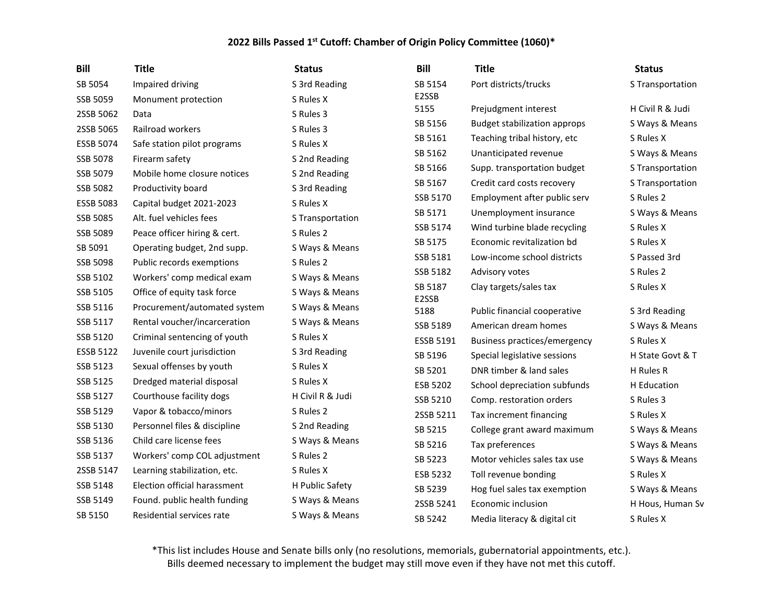| <b>Bill</b>      | <b>Title</b>                 | <b>Status</b>    | <b>Bill</b>      | <b>Title</b>                        | <b>Status</b>    |
|------------------|------------------------------|------------------|------------------|-------------------------------------|------------------|
| SB 5054          | Impaired driving             | S 3rd Reading    | SB 5154          | Port districts/trucks               | S Transportation |
| SSB 5059         | Monument protection          | S Rules X        | E2SSB            |                                     |                  |
| 2SSB 5062        | Data                         | S Rules 3        | 5155             | Prejudgment interest                | H Civil R & Judi |
| 2SSB 5065        | Railroad workers             | S Rules 3        | SB 5156          | <b>Budget stabilization approps</b> | S Ways & Means   |
| <b>ESSB 5074</b> | Safe station pilot programs  | S Rules X        | SB 5161          | Teaching tribal history, etc        | S Rules X        |
| SSB 5078         | Firearm safety               | S 2nd Reading    | SB 5162          | Unanticipated revenue               | S Ways & Means   |
| SSB 5079         | Mobile home closure notices  | S 2nd Reading    | SB 5166          | Supp. transportation budget         | S Transportation |
| SSB 5082         | Productivity board           | S 3rd Reading    | SB 5167          | Credit card costs recovery          | S Transportation |
| <b>ESSB 5083</b> | Capital budget 2021-2023     | S Rules X        | SSB 5170         | Employment after public serv        | S Rules 2        |
| SSB 5085         | Alt. fuel vehicles fees      | S Transportation | SB 5171          | Unemployment insurance              | S Ways & Means   |
| SSB 5089         | Peace officer hiring & cert. | S Rules 2        | SSB 5174         | Wind turbine blade recycling        | S Rules X        |
| SB 5091          | Operating budget, 2nd supp.  | S Ways & Means   | SB 5175          | Economic revitalization bd          | S Rules X        |
| SSB 5098         | Public records exemptions    | S Rules 2        | SSB 5181         | Low-income school districts         | S Passed 3rd     |
| SSB 5102         | Workers' comp medical exam   | S Ways & Means   | SSB 5182         | Advisory votes                      | S Rules 2        |
| SSB 5105         | Office of equity task force  | S Ways & Means   | SB 5187<br>E2SSB | Clay targets/sales tax              | S Rules X        |
| SSB 5116         | Procurement/automated system | S Ways & Means   | 5188             | Public financial cooperative        | S 3rd Reading    |
| SSB 5117         | Rental voucher/incarceration | S Ways & Means   | SSB 5189         | American dream homes                | S Ways & Means   |
| SSB 5120         | Criminal sentencing of youth | S Rules X        | <b>ESSB 5191</b> | Business practices/emergency        | S Rules X        |
| <b>ESSB 5122</b> | Juvenile court jurisdiction  | S 3rd Reading    | SB 5196          | Special legislative sessions        | H State Govt & T |
| SSB 5123         | Sexual offenses by youth     | S Rules X        | SB 5201          | DNR timber & land sales             | H Rules R        |
| SSB 5125         | Dredged material disposal    | S Rules X        | ESB 5202         | School depreciation subfunds        | H Education      |
| SSB 5127         | Courthouse facility dogs     | H Civil R & Judi | SSB 5210         | Comp. restoration orders            | S Rules 3        |
| SSB 5129         | Vapor & tobacco/minors       | S Rules 2        | 2SSB 5211        | Tax increment financing             | S Rules X        |
| SSB 5130         | Personnel files & discipline | S 2nd Reading    | SB 5215          | College grant award maximum         | S Ways & Means   |
| SSB 5136         | Child care license fees      | S Ways & Means   | SB 5216          | Tax preferences                     | S Ways & Means   |
| SSB 5137         | Workers' comp COL adjustment | S Rules 2        | SB 5223          | Motor vehicles sales tax use        | S Ways & Means   |
| 2SSB 5147        | Learning stabilization, etc. | S Rules X        | ESB 5232         | Toll revenue bonding                | S Rules X        |
| SSB 5148         | Election official harassment | H Public Safety  | SB 5239          | Hog fuel sales tax exemption        | S Ways & Means   |
| SSB 5149         | Found. public health funding | S Ways & Means   | 2SSB 5241        | Economic inclusion                  | H Hous, Human Sv |
| SB 5150          | Residential services rate    | S Ways & Means   | SB 5242          | Media literacy & digital cit        | S Rules X        |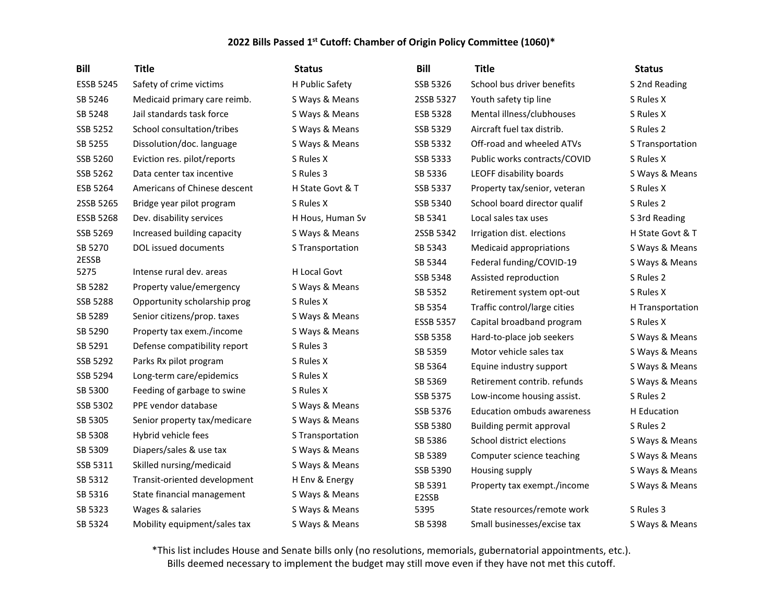| <b>Bill</b>      | <b>Title</b>                 | <b>Status</b>    | Bill             | <b>Title</b>                      | <b>Status</b>    |
|------------------|------------------------------|------------------|------------------|-----------------------------------|------------------|
| <b>ESSB 5245</b> | Safety of crime victims      | H Public Safety  | SSB 5326         | School bus driver benefits        | S 2nd Reading    |
| SB 5246          | Medicaid primary care reimb. | S Ways & Means   | 2SSB 5327        | Youth safety tip line             | S Rules X        |
| SB 5248          | Jail standards task force    | S Ways & Means   | ESB 5328         | Mental illness/clubhouses         | S Rules X        |
| SSB 5252         | School consultation/tribes   | S Ways & Means   | SSB 5329         | Aircraft fuel tax distrib.        | S Rules 2        |
| SB 5255          | Dissolution/doc. language    | S Ways & Means   | SSB 5332         | Off-road and wheeled ATVs         | S Transportation |
| SSB 5260         | Eviction res. pilot/reports  | S Rules X        | SSB 5333         | Public works contracts/COVID      | S Rules X        |
| SSB 5262         | Data center tax incentive    | S Rules 3        | SB 5336          | LEOFF disability boards           | S Ways & Means   |
| ESB 5264         | Americans of Chinese descent | H State Govt & T | SSB 5337         | Property tax/senior, veteran      | S Rules X        |
| 2SSB 5265        | Bridge year pilot program    | S Rules X        | SSB 5340         | School board director qualif      | S Rules 2        |
| <b>ESSB 5268</b> | Dev. disability services     | H Hous, Human Sv | SB 5341          | Local sales tax uses              | S 3rd Reading    |
| SSB 5269         | Increased building capacity  | S Ways & Means   | 2SSB 5342        | Irrigation dist. elections        | H State Govt & T |
| SB 5270          | DOL issued documents         | S Transportation | SB 5343          | Medicaid appropriations           | S Ways & Means   |
| 2ESSB            |                              |                  | SB 5344          | Federal funding/COVID-19          | S Ways & Means   |
| 5275             | Intense rural dev. areas     | H Local Govt     | SSB 5348         | Assisted reproduction             | S Rules 2        |
| SB 5282          | Property value/emergency     | S Ways & Means   | SB 5352          | Retirement system opt-out         | S Rules X        |
| SSB 5288         | Opportunity scholarship prog | S Rules X        | SB 5354          | Traffic control/large cities      | H Transportation |
| SB 5289          | Senior citizens/prop. taxes  | S Ways & Means   | <b>ESSB 5357</b> | Capital broadband program         | S Rules X        |
| SB 5290          | Property tax exem./income    | S Ways & Means   | SSB 5358         | Hard-to-place job seekers         | S Ways & Means   |
| SB 5291          | Defense compatibility report | S Rules 3        | SB 5359          | Motor vehicle sales tax           | S Ways & Means   |
| SSB 5292         | Parks Rx pilot program       | S Rules X        | SB 5364          | Equine industry support           | S Ways & Means   |
| SSB 5294         | Long-term care/epidemics     | S Rules X        | SB 5369          | Retirement contrib. refunds       | S Ways & Means   |
| SB 5300          | Feeding of garbage to swine  | S Rules X        | SSB 5375         | Low-income housing assist.        | S Rules 2        |
| SSB 5302         | PPE vendor database          | S Ways & Means   | SSB 5376         | <b>Education ombuds awareness</b> | H Education      |
| SB 5305          | Senior property tax/medicare | S Ways & Means   |                  |                                   |                  |
| SB 5308          | Hybrid vehicle fees          | S Transportation | SSB 5380         | Building permit approval          | S Rules 2        |
| SB 5309          | Diapers/sales & use tax      | S Ways & Means   | SB 5386          | School district elections         | S Ways & Means   |
| SSB 5311         | Skilled nursing/medicaid     | S Ways & Means   | SB 5389          | Computer science teaching         | S Ways & Means   |
| SB 5312          | Transit-oriented development | H Env & Energy   | SSB 5390         | Housing supply                    | S Ways & Means   |
| SB 5316          | State financial management   | S Ways & Means   | SB 5391          | Property tax exempt./income       | S Ways & Means   |
| SB 5323          | Wages & salaries             | S Ways & Means   | E2SSB<br>5395    | State resources/remote work       | S Rules 3        |
| SB 5324          | Mobility equipment/sales tax | S Ways & Means   | SB 5398          | Small businesses/excise tax       | S Ways & Means   |
|                  |                              |                  |                  |                                   |                  |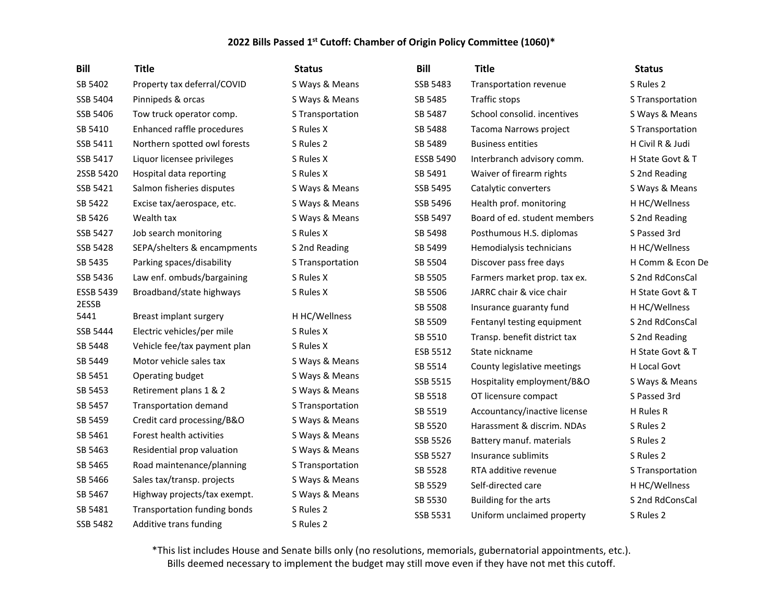| <b>Bill</b>      | <b>Title</b>                 | <b>Status</b>    | <b>Bill</b>      | <b>Title</b>                 | <b>Status</b>    |
|------------------|------------------------------|------------------|------------------|------------------------------|------------------|
| SB 5402          | Property tax deferral/COVID  | S Ways & Means   | SSB 5483         | Transportation revenue       | S Rules 2        |
| SSB 5404         | Pinnipeds & orcas            | S Ways & Means   | SB 5485          | Traffic stops                | S Transportation |
| SSB 5406         | Tow truck operator comp.     | S Transportation | SB 5487          | School consolid. incentives  | S Ways & Means   |
| SB 5410          | Enhanced raffle procedures   | S Rules X        | SB 5488          | Tacoma Narrows project       | S Transportation |
| SSB 5411         | Northern spotted owl forests | S Rules 2        | SB 5489          | <b>Business entities</b>     | H Civil R & Judi |
| SSB 5417         | Liquor licensee privileges   | S Rules X        | <b>ESSB 5490</b> | Interbranch advisory comm.   | H State Govt & T |
| 2SSB 5420        | Hospital data reporting      | S Rules X        | SB 5491          | Waiver of firearm rights     | S 2nd Reading    |
| SSB 5421         | Salmon fisheries disputes    | S Ways & Means   | SSB 5495         | Catalytic converters         | S Ways & Means   |
| SB 5422          | Excise tax/aerospace, etc.   | S Ways & Means   | SSB 5496         | Health prof. monitoring      | H HC/Wellness    |
| SB 5426          | Wealth tax                   | S Ways & Means   | SSB 5497         | Board of ed. student members | S 2nd Reading    |
| SSB 5427         | Job search monitoring        | S Rules X        | SB 5498          | Posthumous H.S. diplomas     | S Passed 3rd     |
| SSB 5428         | SEPA/shelters & encampments  | S 2nd Reading    | SB 5499          | Hemodialysis technicians     | H HC/Wellness    |
| SB 5435          | Parking spaces/disability    | S Transportation | SB 5504          | Discover pass free days      | H Comm & Econ De |
| SSB 5436         | Law enf. ombuds/bargaining   | S Rules X        | SB 5505          | Farmers market prop. tax ex. | S 2nd RdConsCal  |
| <b>ESSB 5439</b> | Broadband/state highways     | S Rules X        | SB 5506          | JARRC chair & vice chair     | H State Govt & T |
| 2ESSB            |                              |                  | SB 5508          | Insurance guaranty fund      | H HC/Wellness    |
| 5441             | Breast implant surgery       | H HC/Wellness    | SB 5509          | Fentanyl testing equipment   | S 2nd RdConsCal  |
| SSB 5444         | Electric vehicles/per mile   | S Rules X        | SB 5510          | Transp. benefit district tax | S 2nd Reading    |
| SB 5448          | Vehicle fee/tax payment plan | S Rules X        | ESB 5512         | State nickname               | H State Govt & T |
| SB 5449          | Motor vehicle sales tax      | S Ways & Means   | SB 5514          | County legislative meetings  | H Local Govt     |
| SB 5451          | Operating budget             | S Ways & Means   | SSB 5515         | Hospitality employment/B&O   | S Ways & Means   |
| SB 5453          | Retirement plans 1 & 2       | S Ways & Means   | SB 5518          | OT licensure compact         | S Passed 3rd     |
| SB 5457          | <b>Transportation demand</b> | S Transportation | SB 5519          | Accountancy/inactive license | H Rules R        |
| SB 5459          | Credit card processing/B&O   | S Ways & Means   | SB 5520          | Harassment & discrim. NDAs   | S Rules 2        |
| SB 5461          | Forest health activities     | S Ways & Means   | SSB 5526         | Battery manuf. materials     | S Rules 2        |
| SB 5463          | Residential prop valuation   | S Ways & Means   | SSB 5527         | Insurance sublimits          | S Rules 2        |
| SB 5465          | Road maintenance/planning    | S Transportation | SB 5528          | RTA additive revenue         | S Transportation |
| SB 5466          | Sales tax/transp. projects   | S Ways & Means   | SB 5529          | Self-directed care           | H HC/Wellness    |
| SB 5467          | Highway projects/tax exempt. | S Ways & Means   | SB 5530          | Building for the arts        | S 2nd RdConsCal  |
| SB 5481          | Transportation funding bonds | S Rules 2        | SSB 5531         | Uniform unclaimed property   | S Rules 2        |
| SSB 5482         | Additive trans funding       | S Rules 2        |                  |                              |                  |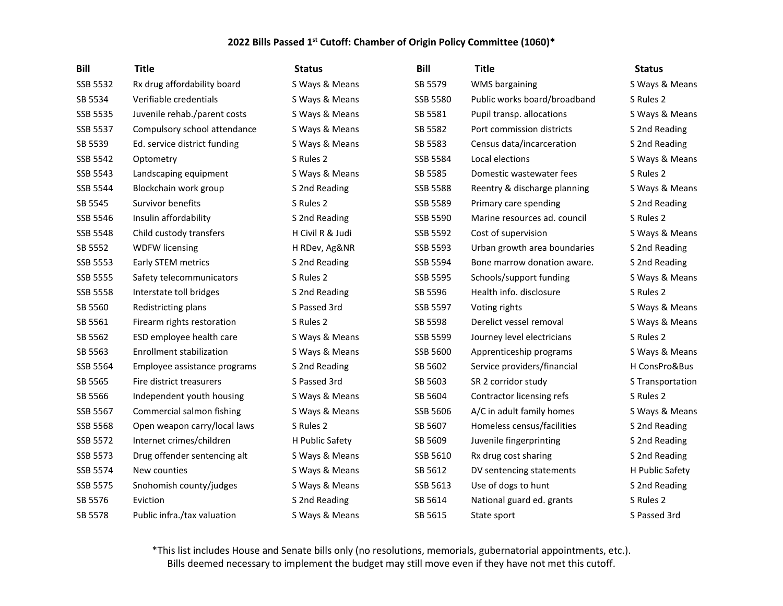| <b>Bill</b> | <b>Title</b>                 | <b>Status</b>    | <b>Bill</b>     | <b>Title</b>                 | <b>Status</b>    |
|-------------|------------------------------|------------------|-----------------|------------------------------|------------------|
| SSB 5532    | Rx drug affordability board  | S Ways & Means   | SB 5579         | WMS bargaining               | S Ways & Means   |
| SB 5534     | Verifiable credentials       | S Ways & Means   | <b>SSB 5580</b> | Public works board/broadband | S Rules 2        |
| SSB 5535    | Juvenile rehab./parent costs | S Ways & Means   | SB 5581         | Pupil transp. allocations    | S Ways & Means   |
| SSB 5537    | Compulsory school attendance | S Ways & Means   | SB 5582         | Port commission districts    | S 2nd Reading    |
| SB 5539     | Ed. service district funding | S Ways & Means   | SB 5583         | Census data/incarceration    | S 2nd Reading    |
| SSB 5542    | Optometry                    | S Rules 2        | SSB 5584        | Local elections              | S Ways & Means   |
| SSB 5543    | Landscaping equipment        | S Ways & Means   | SB 5585         | Domestic wastewater fees     | S Rules 2        |
| SSB 5544    | Blockchain work group        | S 2nd Reading    | SSB 5588        | Reentry & discharge planning | S Ways & Means   |
| SB 5545     | Survivor benefits            | S Rules 2        | SSB 5589        | Primary care spending        | S 2nd Reading    |
| SSB 5546    | Insulin affordability        | S 2nd Reading    | SSB 5590        | Marine resources ad. council | S Rules 2        |
| SSB 5548    | Child custody transfers      | H Civil R & Judi | SSB 5592        | Cost of supervision          | S Ways & Means   |
| SB 5552     | <b>WDFW licensing</b>        | H RDev, Ag&NR    | SSB 5593        | Urban growth area boundaries | S 2nd Reading    |
| SSB 5553    | Early STEM metrics           | S 2nd Reading    | SSB 5594        | Bone marrow donation aware.  | S 2nd Reading    |
| SSB 5555    | Safety telecommunicators     | S Rules 2        | SSB 5595        | Schools/support funding      | S Ways & Means   |
| SSB 5558    | Interstate toll bridges      | S 2nd Reading    | SB 5596         | Health info. disclosure      | S Rules 2        |
| SB 5560     | Redistricting plans          | S Passed 3rd     | SSB 5597        | Voting rights                | S Ways & Means   |
| SB 5561     | Firearm rights restoration   | S Rules 2        | SB 5598         | Derelict vessel removal      | S Ways & Means   |
| SB 5562     | ESD employee health care     | S Ways & Means   | SSB 5599        | Journey level electricians   | S Rules 2        |
| SB 5563     | Enrollment stabilization     | S Ways & Means   | SSB 5600        | Apprenticeship programs      | S Ways & Means   |
| SSB 5564    | Employee assistance programs | S 2nd Reading    | SB 5602         | Service providers/financial  | H ConsPro&Bus    |
| SB 5565     | Fire district treasurers     | S Passed 3rd     | SB 5603         | SR 2 corridor study          | S Transportation |
| SB 5566     | Independent youth housing    | S Ways & Means   | SB 5604         | Contractor licensing refs    | S Rules 2        |
| SSB 5567    | Commercial salmon fishing    | S Ways & Means   | SSB 5606        | A/C in adult family homes    | S Ways & Means   |
| SSB 5568    | Open weapon carry/local laws | S Rules 2        | SB 5607         | Homeless census/facilities   | S 2nd Reading    |
| SSB 5572    | Internet crimes/children     | H Public Safety  | SB 5609         | Juvenile fingerprinting      | S 2nd Reading    |
| SSB 5573    | Drug offender sentencing alt | S Ways & Means   | SSB 5610        | Rx drug cost sharing         | S 2nd Reading    |
| SSB 5574    | New counties                 | S Ways & Means   | SB 5612         | DV sentencing statements     | H Public Safety  |
| SSB 5575    | Snohomish county/judges      | S Ways & Means   | SSB 5613        | Use of dogs to hunt          | S 2nd Reading    |
| SB 5576     | Eviction                     | S 2nd Reading    | SB 5614         | National guard ed. grants    | S Rules 2        |
| SB 5578     | Public infra./tax valuation  | S Ways & Means   | SB 5615         | State sport                  | S Passed 3rd     |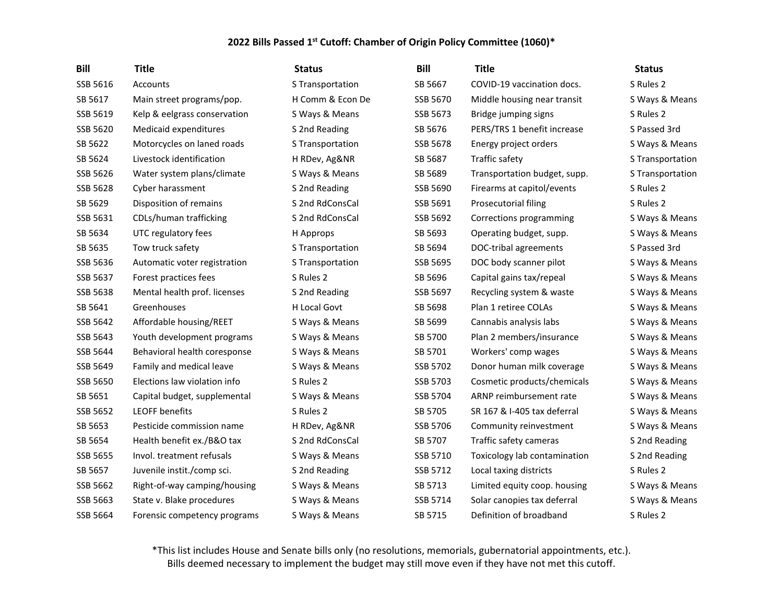| <b>Bill</b> | <b>Title</b>                 | <b>Status</b>       | <b>Bill</b> | <b>Title</b>                 | <b>Status</b>    |
|-------------|------------------------------|---------------------|-------------|------------------------------|------------------|
| SSB 5616    | Accounts                     | S Transportation    | SB 5667     | COVID-19 vaccination docs.   | S Rules 2        |
| SB 5617     | Main street programs/pop.    | H Comm & Econ De    | SSB 5670    | Middle housing near transit  | S Ways & Means   |
| SSB 5619    | Kelp & eelgrass conservation | S Ways & Means      | SSB 5673    | Bridge jumping signs         | S Rules 2        |
| SSB 5620    | Medicaid expenditures        | S 2nd Reading       | SB 5676     | PERS/TRS 1 benefit increase  | S Passed 3rd     |
| SB 5622     | Motorcycles on laned roads   | S Transportation    | SSB 5678    | Energy project orders        | S Ways & Means   |
| SB 5624     | Livestock identification     | H RDev, Ag&NR       | SB 5687     | Traffic safety               | S Transportation |
| SSB 5626    | Water system plans/climate   | S Ways & Means      | SB 5689     | Transportation budget, supp. | S Transportation |
| SSB 5628    | Cyber harassment             | S 2nd Reading       | SSB 5690    | Firearms at capitol/events   | S Rules 2        |
| SB 5629     | Disposition of remains       | S 2nd RdConsCal     | SSB 5691    | Prosecutorial filing         | S Rules 2        |
| SSB 5631    | CDLs/human trafficking       | S 2nd RdConsCal     | SSB 5692    | Corrections programming      | S Ways & Means   |
| SB 5634     | UTC regulatory fees          | H Approps           | SB 5693     | Operating budget, supp.      | S Ways & Means   |
| SB 5635     | Tow truck safety             | S Transportation    | SB 5694     | DOC-tribal agreements        | S Passed 3rd     |
| SSB 5636    | Automatic voter registration | S Transportation    | SSB 5695    | DOC body scanner pilot       | S Ways & Means   |
| SSB 5637    | Forest practices fees        | S Rules 2           | SB 5696     | Capital gains tax/repeal     | S Ways & Means   |
| SSB 5638    | Mental health prof. licenses | S 2nd Reading       | SSB 5697    | Recycling system & waste     | S Ways & Means   |
| SB 5641     | Greenhouses                  | <b>H</b> Local Govt | SB 5698     | Plan 1 retiree COLAs         | S Ways & Means   |
| SSB 5642    | Affordable housing/REET      | S Ways & Means      | SB 5699     | Cannabis analysis labs       | S Ways & Means   |
| SSB 5643    | Youth development programs   | S Ways & Means      | SB 5700     | Plan 2 members/insurance     | S Ways & Means   |
| SSB 5644    | Behavioral health coresponse | S Ways & Means      | SB 5701     | Workers' comp wages          | S Ways & Means   |
| SSB 5649    | Family and medical leave     | S Ways & Means      | SSB 5702    | Donor human milk coverage    | S Ways & Means   |
| SSB 5650    | Elections law violation info | S Rules 2           | SSB 5703    | Cosmetic products/chemicals  | S Ways & Means   |
| SB 5651     | Capital budget, supplemental | S Ways & Means      | SSB 5704    | ARNP reimbursement rate      | S Ways & Means   |
| SSB 5652    | <b>LEOFF benefits</b>        | S Rules 2           | SB 5705     | SR 167 & I-405 tax deferral  | S Ways & Means   |
| SB 5653     | Pesticide commission name    | H RDev, Ag&NR       | SSB 5706    | Community reinvestment       | S Ways & Means   |
| SB 5654     | Health benefit ex./B&O tax   | S 2nd RdConsCal     | SB 5707     | Traffic safety cameras       | S 2nd Reading    |
| SSB 5655    | Invol. treatment refusals    | S Ways & Means      | SSB 5710    | Toxicology lab contamination | S 2nd Reading    |
| SB 5657     | Juvenile instit./comp sci.   | S 2nd Reading       | SSB 5712    | Local taxing districts       | S Rules 2        |
| SSB 5662    | Right-of-way camping/housing | S Ways & Means      | SB 5713     | Limited equity coop. housing | S Ways & Means   |
| SSB 5663    | State v. Blake procedures    | S Ways & Means      | SSB 5714    | Solar canopies tax deferral  | S Ways & Means   |
| SSB 5664    | Forensic competency programs | S Ways & Means      | SB 5715     | Definition of broadband      | S Rules 2        |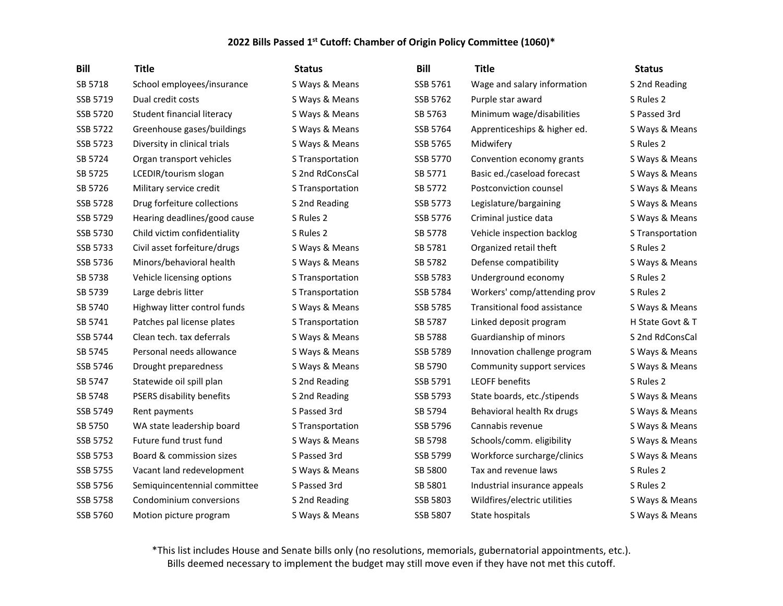| <b>Bill</b> | <b>Title</b>                 | <b>Status</b>    | <b>Bill</b>     | <b>Title</b>                 | <b>Status</b>    |
|-------------|------------------------------|------------------|-----------------|------------------------------|------------------|
| SB 5718     | School employees/insurance   | S Ways & Means   | SSB 5761        | Wage and salary information  | S 2nd Reading    |
| SSB 5719    | Dual credit costs            | S Ways & Means   | SSB 5762        | Purple star award            | S Rules 2        |
| SSB 5720    | Student financial literacy   | S Ways & Means   | SB 5763         | Minimum wage/disabilities    | S Passed 3rd     |
| SSB 5722    | Greenhouse gases/buildings   | S Ways & Means   | SSB 5764        | Apprenticeships & higher ed. | S Ways & Means   |
| SSB 5723    | Diversity in clinical trials | S Ways & Means   | SSB 5765        | Midwifery                    | S Rules 2        |
| SB 5724     | Organ transport vehicles     | S Transportation | SSB 5770        | Convention economy grants    | S Ways & Means   |
| SB 5725     | LCEDIR/tourism slogan        | S 2nd RdConsCal  | SB 5771         | Basic ed./caseload forecast  | S Ways & Means   |
| SB 5726     | Military service credit      | S Transportation | SB 5772         | Postconviction counsel       | S Ways & Means   |
| SSB 5728    | Drug forfeiture collections  | S 2nd Reading    | SSB 5773        | Legislature/bargaining       | S Ways & Means   |
| SSB 5729    | Hearing deadlines/good cause | S Rules 2        | SSB 5776        | Criminal justice data        | S Ways & Means   |
| SSB 5730    | Child victim confidentiality | S Rules 2        | SB 5778         | Vehicle inspection backlog   | S Transportation |
| SSB 5733    | Civil asset forfeiture/drugs | S Ways & Means   | SB 5781         | Organized retail theft       | S Rules 2        |
| SSB 5736    | Minors/behavioral health     | S Ways & Means   | SB 5782         | Defense compatibility        | S Ways & Means   |
| SB 5738     | Vehicle licensing options    | S Transportation | SSB 5783        | Underground economy          | S Rules 2        |
| SB 5739     | Large debris litter          | S Transportation | SSB 5784        | Workers' comp/attending prov | S Rules 2        |
| SB 5740     | Highway litter control funds | S Ways & Means   | SSB 5785        | Transitional food assistance | S Ways & Means   |
| SB 5741     | Patches pal license plates   | S Transportation | SB 5787         | Linked deposit program       | H State Govt & T |
| SSB 5744    | Clean tech. tax deferrals    | S Ways & Means   | SB 5788         | Guardianship of minors       | S 2nd RdConsCal  |
| SB 5745     | Personal needs allowance     | S Ways & Means   | SSB 5789        | Innovation challenge program | S Ways & Means   |
| SSB 5746    | Drought preparedness         | S Ways & Means   | SB 5790         | Community support services   | S Ways & Means   |
| SB 5747     | Statewide oil spill plan     | S 2nd Reading    | SSB 5791        | <b>LEOFF benefits</b>        | S Rules 2        |
| SB 5748     | PSERS disability benefits    | S 2nd Reading    | SSB 5793        | State boards, etc./stipends  | S Ways & Means   |
| SSB 5749    | Rent payments                | S Passed 3rd     | SB 5794         | Behavioral health Rx drugs   | S Ways & Means   |
| SB 5750     | WA state leadership board    | S Transportation | SSB 5796        | Cannabis revenue             | S Ways & Means   |
| SSB 5752    | Future fund trust fund       | S Ways & Means   | SB 5798         | Schools/comm. eligibility    | S Ways & Means   |
| SSB 5753    | Board & commission sizes     | S Passed 3rd     | SSB 5799        | Workforce surcharge/clinics  | S Ways & Means   |
| SSB 5755    | Vacant land redevelopment    | S Ways & Means   | SB 5800         | Tax and revenue laws         | S Rules 2        |
| SSB 5756    | Semiquincentennial committee | S Passed 3rd     | SB 5801         | Industrial insurance appeals | S Rules 2        |
| SSB 5758    | Condominium conversions      | S 2nd Reading    | SSB 5803        | Wildfires/electric utilities | S Ways & Means   |
| SSB 5760    | Motion picture program       | S Ways & Means   | <b>SSB 5807</b> | State hospitals              | S Ways & Means   |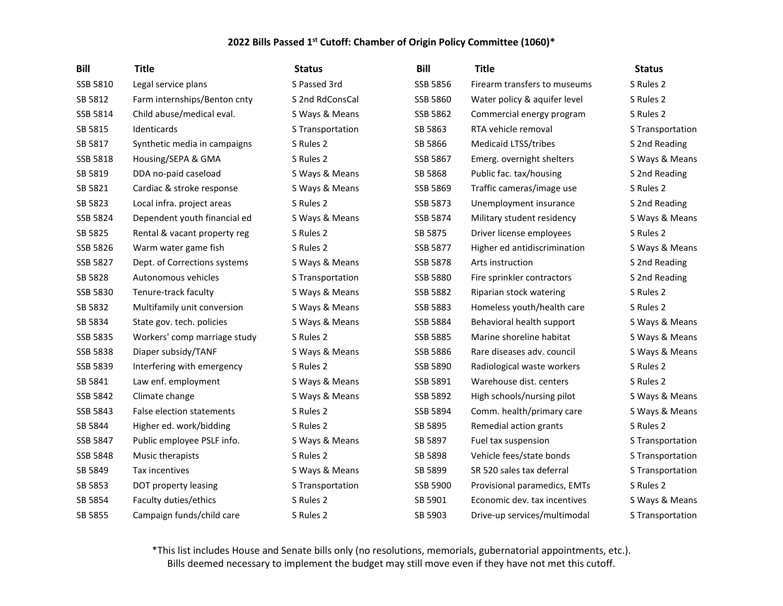| <b>Bill</b> | <b>Title</b>                 | <b>Status</b>    | <b>Bill</b>     | <b>Title</b>                 | <b>Status</b>    |
|-------------|------------------------------|------------------|-----------------|------------------------------|------------------|
| SSB 5810    | Legal service plans          | S Passed 3rd     | SSB 5856        | Firearm transfers to museums | S Rules 2        |
| SB 5812     | Farm internships/Benton cnty | S 2nd RdConsCal  | SSB 5860        | Water policy & aquifer level | S Rules 2        |
| SSB 5814    | Child abuse/medical eval.    | S Ways & Means   | SSB 5862        | Commercial energy program    | S Rules 2        |
| SB 5815     | Identicards                  | S Transportation | SB 5863         | RTA vehicle removal          | S Transportation |
| SB 5817     | Synthetic media in campaigns | S Rules 2        | SB 5866         | <b>Medicaid LTSS/tribes</b>  | S 2nd Reading    |
| SSB 5818    | Housing/SEPA & GMA           | S Rules 2        | SSB 5867        | Emerg. overnight shelters    | S Ways & Means   |
| SB 5819     | DDA no-paid caseload         | S Ways & Means   | SB 5868         | Public fac. tax/housing      | S 2nd Reading    |
| SB 5821     | Cardiac & stroke response    | S Ways & Means   | SSB 5869        | Traffic cameras/image use    | S Rules 2        |
| SB 5823     | Local infra. project areas   | S Rules 2        | SSB 5873        | Unemployment insurance       | S 2nd Reading    |
| SSB 5824    | Dependent youth financial ed | S Ways & Means   | SSB 5874        | Military student residency   | S Ways & Means   |
| SB 5825     | Rental & vacant property reg | S Rules 2        | SB 5875         | Driver license employees     | S Rules 2        |
| SSB 5826    | Warm water game fish         | S Rules 2        | SSB 5877        | Higher ed antidiscrimination | S Ways & Means   |
| SSB 5827    | Dept. of Corrections systems | S Ways & Means   | SSB 5878        | Arts instruction             | S 2nd Reading    |
| SB 5828     | Autonomous vehicles          | S Transportation | <b>SSB 5880</b> | Fire sprinkler contractors   | S 2nd Reading    |
| SSB 5830    | Tenure-track faculty         | S Ways & Means   | SSB 5882        | Riparian stock watering      | S Rules 2        |
| SB 5832     | Multifamily unit conversion  | S Ways & Means   | SSB 5883        | Homeless youth/health care   | S Rules 2        |
| SB 5834     | State gov. tech. policies    | S Ways & Means   | SSB 5884        | Behavioral health support    | S Ways & Means   |
| SSB 5835    | Workers' comp marriage study | S Rules 2        | <b>SSB 5885</b> | Marine shoreline habitat     | S Ways & Means   |
| SSB 5838    | Diaper subsidy/TANF          | S Ways & Means   | <b>SSB 5886</b> | Rare diseases adv. council   | S Ways & Means   |
| SSB 5839    | Interfering with emergency   | S Rules 2        | <b>SSB 5890</b> | Radiological waste workers   | S Rules 2        |
| SB 5841     | Law enf. employment          | S Ways & Means   | SSB 5891        | Warehouse dist. centers      | S Rules 2        |
| SSB 5842    | Climate change               | S Ways & Means   | SSB 5892        | High schools/nursing pilot   | S Ways & Means   |
| SSB 5843    | False election statements    | S Rules 2        | SSB 5894        | Comm. health/primary care    | S Ways & Means   |
| SB 5844     | Higher ed. work/bidding      | S Rules 2        | SB 5895         | Remedial action grants       | S Rules 2        |
| SSB 5847    | Public employee PSLF info.   | S Ways & Means   | SB 5897         | Fuel tax suspension          | S Transportation |
| SSB 5848    | Music therapists             | S Rules 2        | SB 5898         | Vehicle fees/state bonds     | S Transportation |
| SB 5849     | Tax incentives               | S Ways & Means   | SB 5899         | SR 520 sales tax deferral    | S Transportation |
| SB 5853     | DOT property leasing         | S Transportation | SSB 5900        | Provisional paramedics, EMTs | S Rules 2        |
| SB 5854     | Faculty duties/ethics        | S Rules 2        | SB 5901         | Economic dev. tax incentives | S Ways & Means   |
| SB 5855     | Campaign funds/child care    | S Rules 2        | SB 5903         | Drive-up services/multimodal | S Transportation |